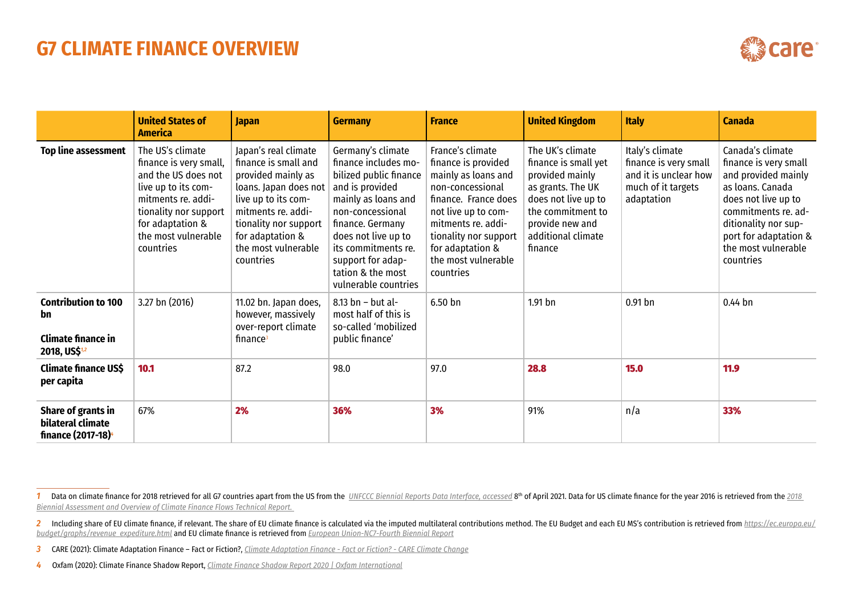## **G7 CLIMATE FINANCE OVERVIEW**

| ☜ | -<br>۰. |  | ar |
|---|---------|--|----|
|---|---------|--|----|

|                                                                                            | <b>United States of</b><br><b>America</b>                                                                                                                                                       | <b>Japan</b>                                                                                                                                                                                                              | <b>Germany</b>                                                                                                                                                                                                                                                        | <b>France</b>                                                                                                                                                                                                                            | <b>United Kingdom</b>                                                                                                                                                            | <b>Italy</b>                                                                                          | Canada                                                                                                                                                                                                                  |
|--------------------------------------------------------------------------------------------|-------------------------------------------------------------------------------------------------------------------------------------------------------------------------------------------------|---------------------------------------------------------------------------------------------------------------------------------------------------------------------------------------------------------------------------|-----------------------------------------------------------------------------------------------------------------------------------------------------------------------------------------------------------------------------------------------------------------------|------------------------------------------------------------------------------------------------------------------------------------------------------------------------------------------------------------------------------------------|----------------------------------------------------------------------------------------------------------------------------------------------------------------------------------|-------------------------------------------------------------------------------------------------------|-------------------------------------------------------------------------------------------------------------------------------------------------------------------------------------------------------------------------|
| Top line assessment                                                                        | The US's climate<br>finance is very small,<br>and the US does not<br>live up to its com-<br>mitments re. addi-<br>tionality nor support<br>for adaptation &<br>the most vulnerable<br>countries | Japan's real climate<br>finance is small and<br>provided mainly as<br>loans. Japan does not<br>live up to its com-<br>mitments re. addi-<br>tionality nor support<br>for adaptation &<br>the most vulnerable<br>countries | Germany's climate<br>finance includes mo-<br>bilized public finance<br>and is provided<br>mainly as loans and<br>non-concessional<br>finance. Germany<br>does not live up to<br>its commitments re.<br>support for adap-<br>tation & the most<br>vulnerable countries | France's climate<br>finance is provided<br>mainly as loans and<br>non-concessional<br>finance. France does<br>not live up to com-<br>mitments re. addi-<br>tionality nor support<br>for adaptation &<br>the most vulnerable<br>countries | The UK's climate<br>finance is small yet<br>provided mainly<br>as grants. The UK<br>does not live up to<br>the commitment to<br>provide new and<br>additional climate<br>finance | Italy's climate<br>finance is very small<br>and it is unclear how<br>much of it targets<br>adaptation | Canada's climate<br>finance is very small<br>and provided mainly<br>as loans. Canada<br>does not live up to<br>commitments re. ad-<br>ditionality nor sup-<br>port for adaptation &<br>the most vulnerable<br>countries |
| <b>Contribution to 100</b><br>bn<br><b>Climate finance in</b><br>2018, US\$ <sup>1,2</sup> | 3.27 bn (2016)                                                                                                                                                                                  | 11.02 bn. Japan does,<br>however, massively<br>over-report climate<br>finance <sup>3</sup>                                                                                                                                | $8.13$ bn - but al-<br>most half of this is<br>so-called 'mobilized<br>public finance'                                                                                                                                                                                | $6.50$ bn                                                                                                                                                                                                                                | 1.91 <sub>bn</sub>                                                                                                                                                               | $0.91$ bn                                                                                             | $0.44$ bn                                                                                                                                                                                                               |
| <b>Climate finance US\$</b><br>per capita                                                  | 10.1                                                                                                                                                                                            | 87.2                                                                                                                                                                                                                      | 98.0                                                                                                                                                                                                                                                                  | 97.0                                                                                                                                                                                                                                     | 28.8                                                                                                                                                                             | 15.0                                                                                                  | 11.9                                                                                                                                                                                                                    |
| Share of grants in<br>bilateral climate<br>finance (2017-18) <sup>4</sup>                  | 67%                                                                                                                                                                                             | 2%                                                                                                                                                                                                                        | 36%                                                                                                                                                                                                                                                                   | 3%                                                                                                                                                                                                                                       | 91%                                                                                                                                                                              | n/a                                                                                                   | 33%                                                                                                                                                                                                                     |

1 Data on climate finance for 2018 retrieved for all G7 countries apart from the US from the US from the US from the [UNFCCC Biennial Reports Data Interface, accessed](https://www4.unfccc.int/sites/br-di/Pages/Home.aspx) 8th of April 2021. Data for US climate finance for the y *[Biennial Assessment and Overview of Climate Finance Flows Technical Report.](https://www4.unfccc.int/sites/br-di/Pages/Home.aspx)* 

 $2$  Including share of EU climate finance, if relevant. The share of EU climate finance is calculated via the imputed multilateral contributions method. The EU Budget and each EU MS's contribution is retrieved from https: *[budget/graphs/revenue\\_expediture.html](https://ec.europa.eu/budget/graphs/revenue_expediture.html)* and EU climate finance is retrieved from *[European Union-NC7-Fourth Biennial Report](https://unfccc.int/sites/default/files/resource/European%20Union-BR4_C_2019_8832_and_SWD_2019_432_2.pdf)*

*<sup>3</sup>* CARE (2021): Climate Adaptation Finance – Fact or Fiction?, *[Climate Adaptation Finance - Fact or Fiction? - CARE Climate Change](https://careclimatechange.org/climate-adaptation-finance-fact-or-fiction/)*

*<sup>4</sup>* Oxfam (2020): Climate Finance Shadow Report, *[Climate Finance Shadow Report 2020 | Oxfam International](https://www.oxfam.org/en/research/climate-finance-shadow-report-2020)*